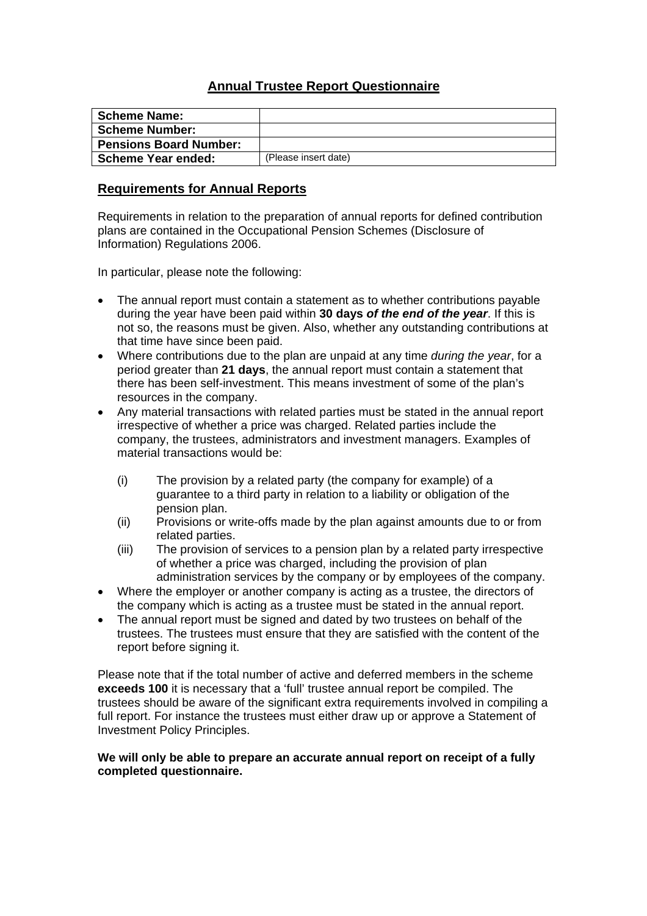## **Annual Trustee Report Questionnaire**

| <b>Scheme Name:</b>           |                      |
|-------------------------------|----------------------|
| <b>Scheme Number:</b>         |                      |
| <b>Pensions Board Number:</b> |                      |
| <b>Scheme Year ended:</b>     | (Please insert date) |

### **Requirements for Annual Reports**

Requirements in relation to the preparation of annual reports for defined contribution plans are contained in the Occupational Pension Schemes (Disclosure of Information) Regulations 2006.

In particular, please note the following:

- The annual report must contain a statement as to whether contributions payable during the year have been paid within **30 days** *of the end of the year*. If this is not so, the reasons must be given. Also, whether any outstanding contributions at that time have since been paid.
- Where contributions due to the plan are unpaid at any time *during the year*, for a period greater than **21 days**, the annual report must contain a statement that there has been self-investment. This means investment of some of the plan's resources in the company.
- Any material transactions with related parties must be stated in the annual report irrespective of whether a price was charged. Related parties include the company, the trustees, administrators and investment managers. Examples of material transactions would be:
	- (i) The provision by a related party (the company for example) of a guarantee to a third party in relation to a liability or obligation of the pension plan.
	- (ii) Provisions or write-offs made by the plan against amounts due to or from related parties.
	- (iii) The provision of services to a pension plan by a related party irrespective of whether a price was charged, including the provision of plan administration services by the company or by employees of the company.
- Where the employer or another company is acting as a trustee, the directors of the company which is acting as a trustee must be stated in the annual report.
- The annual report must be signed and dated by two trustees on behalf of the trustees. The trustees must ensure that they are satisfied with the content of the report before signing it.

Please note that if the total number of active and deferred members in the scheme **exceeds 100** it is necessary that a 'full' trustee annual report be compiled. The trustees should be aware of the significant extra requirements involved in compiling a full report. For instance the trustees must either draw up or approve a Statement of Investment Policy Principles.

### **We will only be able to prepare an accurate annual report on receipt of a fully completed questionnaire.**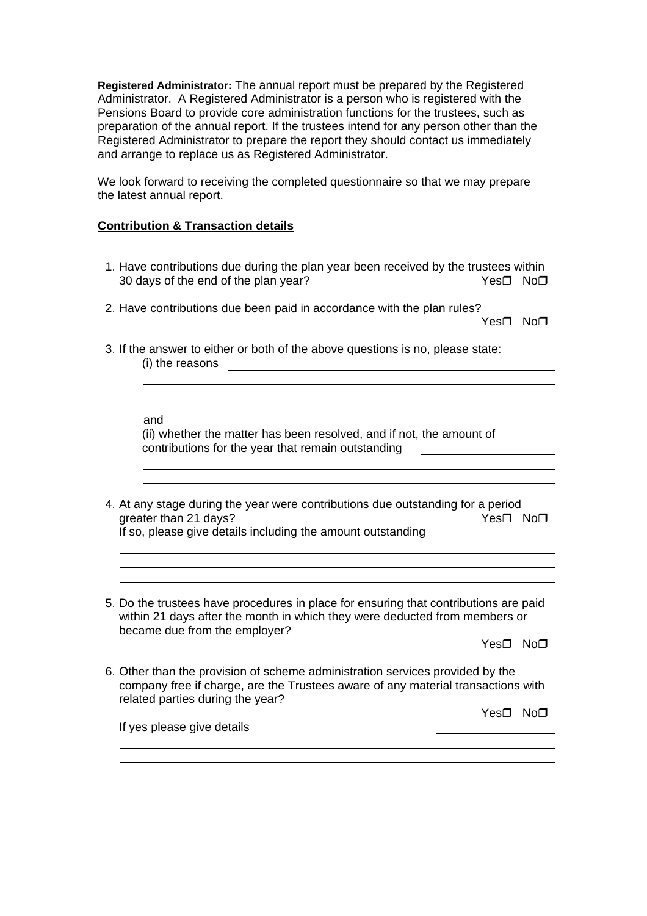**Registered Administrator:** The annual report must be prepared by the Registered Administrator. A Registered Administrator is a person who is registered with the Pensions Board to provide core administration functions for the trustees, such as preparation of the annual report. If the trustees intend for any person other than the Registered Administrator to prepare the report they should contact us immediately and arrange to replace us as Registered Administrator.

We look forward to receiving the completed questionnaire so that we may prepare the latest annual report.

### **Contribution & Transaction details**

- 1. Have contributions due during the plan year been received by the trustees within 30 days of the end of the plan year?  $Yes \Box \text{ No } \Box$
- 2. Have contributions due been paid in accordance with the plan rules?

Yes□ No□

3. If the answer to either or both of the above questions is no, please state: (i) the reasons

| and                                                                  |
|----------------------------------------------------------------------|
| (ii) whether the matter has been resolved, and if not, the amount of |
| contributions for the year that remain outstanding                   |

- 4. At any stage during the year were contributions due outstanding for a period qreater than 21 days?  $Yes \Box \text{No} \Box$ If so, please give details including the amount outstanding
- 5. Do the trustees have procedures in place for ensuring that contributions are paid within 21 days after the month in which they were deducted from members or became due from the employer?

Yes**□** No**□** 

6. Other than the provision of scheme administration services provided by the company free if charge, are the Trustees aware of any material transactions with related parties during the year?

 $Yes \nabla$  No $\nabla$ 

If yes please give details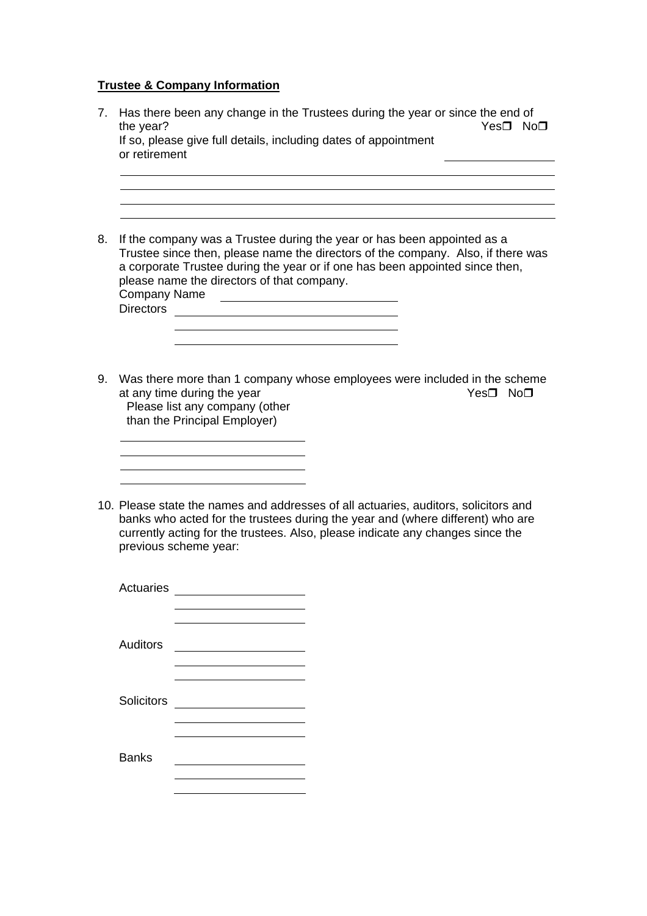# **Trustee & Company Information**

| $7_{\scriptscriptstyle{\ddots}}$ | the year?<br>or retirement              | Has there been any change in the Trustees during the year or since the end of<br>Yes□ No□<br>If so, please give full details, including dates of appointment                                                                                                                                                                                |  |  |
|----------------------------------|-----------------------------------------|---------------------------------------------------------------------------------------------------------------------------------------------------------------------------------------------------------------------------------------------------------------------------------------------------------------------------------------------|--|--|
| 8.                               | <b>Company Name</b><br><b>Directors</b> | If the company was a Trustee during the year or has been appointed as a<br>Trustee since then, please name the directors of the company. Also, if there was<br>a corporate Trustee during the year or if one has been appointed since then,<br>please name the directors of that company.<br><u> 1980 - Jan Stein, amerikansk politik (</u> |  |  |
| 9.                               |                                         | Was there more than 1 company whose employees were included in the scheme<br>at any time during the year<br>Yes <sup>□</sup> No□<br>Please list any company (other<br>than the Principal Employer)                                                                                                                                          |  |  |
|                                  |                                         | 10. Please state the names and addresses of all actuaries, auditors, solicitors and<br>banks who acted for the trustees during the year and (where different) who are<br>currently acting for the trustees. Also, please indicate any changes since the<br>previous scheme year:                                                            |  |  |
|                                  | <b>Actuaries</b>                        |                                                                                                                                                                                                                                                                                                                                             |  |  |
|                                  | <b>Auditors</b>                         |                                                                                                                                                                                                                                                                                                                                             |  |  |
|                                  | Solicitors                              |                                                                                                                                                                                                                                                                                                                                             |  |  |
|                                  | <b>Banks</b>                            |                                                                                                                                                                                                                                                                                                                                             |  |  |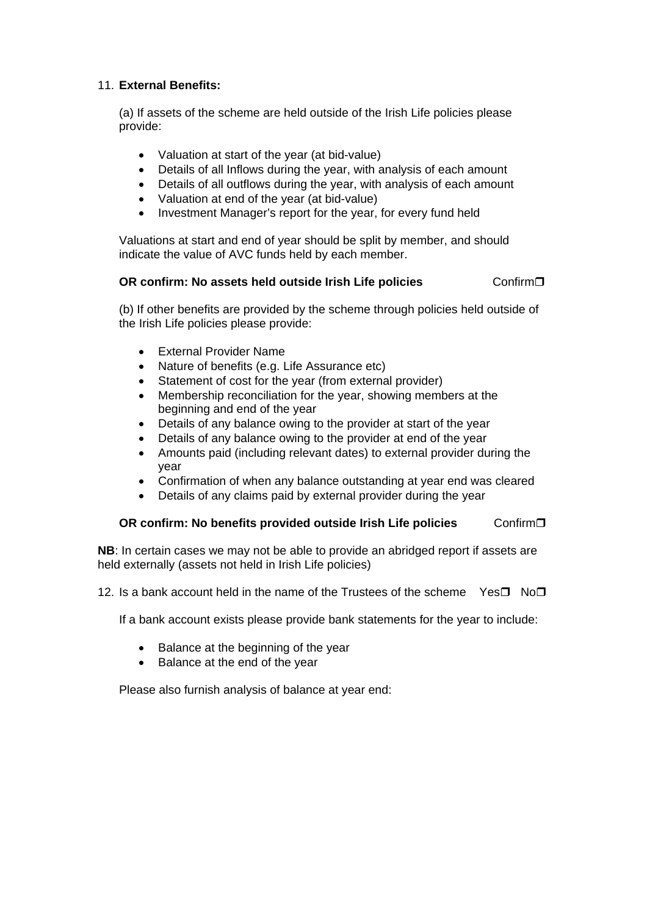### 11. **External Benefits:**

(a) If assets of the scheme are held outside of the Irish Life policies please provide:

- Valuation at start of the year (at bid-value)
- Details of all Inflows during the year, with analysis of each amount
- Details of all outflows during the year, with analysis of each amount
- Valuation at end of the year (at bid-value)
- Investment Manager's report for the year, for every fund held

Valuations at start and end of year should be split by member, and should indicate the value of AVC funds held by each member.

### **OR confirm: No assets held outside Irish Life policies € Confirm□**

(b) If other benefits are provided by the scheme through policies held outside of the Irish Life policies please provide:

- External Provider Name
- Nature of benefits (e.g. Life Assurance etc)
- Statement of cost for the year (from external provider)
- Membership reconciliation for the year, showing members at the beginning and end of the year
- Details of any balance owing to the provider at start of the year
- Details of any balance owing to the provider at end of the year
- Amounts paid (including relevant dates) to external provider during the year
- Confirmation of when any balance outstanding at year end was cleared
- Details of any claims paid by external provider during the year

### **OR confirm: No benefits provided outside Irish Life policies ← Confirm□**

**NB**: In certain cases we may not be able to provide an abridged report if assets are held externally (assets not held in Irish Life policies)

12. Is a bank account held in the name of the Trustees of the scheme Yes $\Pi$  No $\Pi$ 

If a bank account exists please provide bank statements for the year to include:

- Balance at the beginning of the year
- Balance at the end of the year

Please also furnish analysis of balance at year end: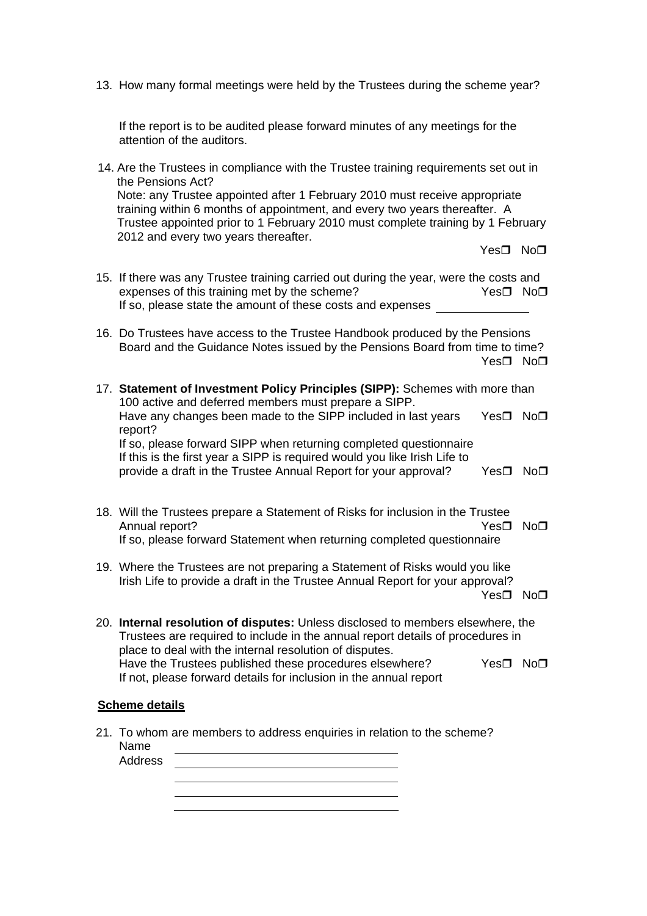13. How many formal meetings were held by the Trustees during the scheme year?

If the report is to be audited please forward minutes of any meetings for the attention of the auditors.

14. Are the Trustees in compliance with the Trustee training requirements set out in the Pensions Act? Note: any Trustee appointed after 1 February 2010 must receive appropriate training within 6 months of appointment, and every two years thereafter. A Trustee appointed prior to 1 February 2010 must complete training by 1 February 2012 and every two years thereafter.

Yes**□** No**□** 

- 15. If there was any Trustee training carried out during the year, were the costs and expenses of this training met by the scheme?  $Yes \Box \text{ No } \Box$ If so, please state the amount of these costs and expenses
- 16. Do Trustees have access to the Trustee Handbook produced by the Pensions Board and the Guidance Notes issued by the Pensions Board from time to time? Yes□ No□
- 17. **Statement of Investment Policy Principles (SIPP):** Schemes with more than 100 active and deferred members must prepare a SIPP. Have any changes been made to the SIPP included in last years Yes $\square$  No $\square$ report? If so, please forward SIPP when returning completed questionnaire If this is the first year a SIPP is required would you like Irish Life to provide a draft in the Trustee Annual Report for your approval? Yes $\square$  No $\square$
- 18. Will the Trustees prepare a Statement of Risks for inclusion in the Trustee Annual report? 
West 1 No. 1 No. 1 No. 1 No. 1 No. 1 No. 1 No. 1 No. 1 No. 1 No. 1 No. 1 No. 1 No. 1 No. 1 No. 1 No. 1 No. 1 No. 1 No. 1 No. 1 No. 1 No. 1 No. 1 No. 1 No. 1 No. 1 No. 1 No. 1 No. 1 No. 1 No. 1 No. 1 No. 1 N If so, please forward Statement when returning completed questionnaire
- 19. Where the Trustees are not preparing a Statement of Risks would you like Irish Life to provide a draft in the Trustee Annual Report for your approval? Yes□ No□
- 20. **Internal resolution of disputes:** Unless disclosed to members elsewhere, the Trustees are required to include in the annual report details of procedures in place to deal with the internal resolution of disputes. Have the Trustees published these procedures elsewhere?  $Yes \Box \ No \Box$ If not, please forward details for inclusion in the annual report

#### **Scheme details**

21. To whom are members to address enquiries in relation to the scheme? Name Address